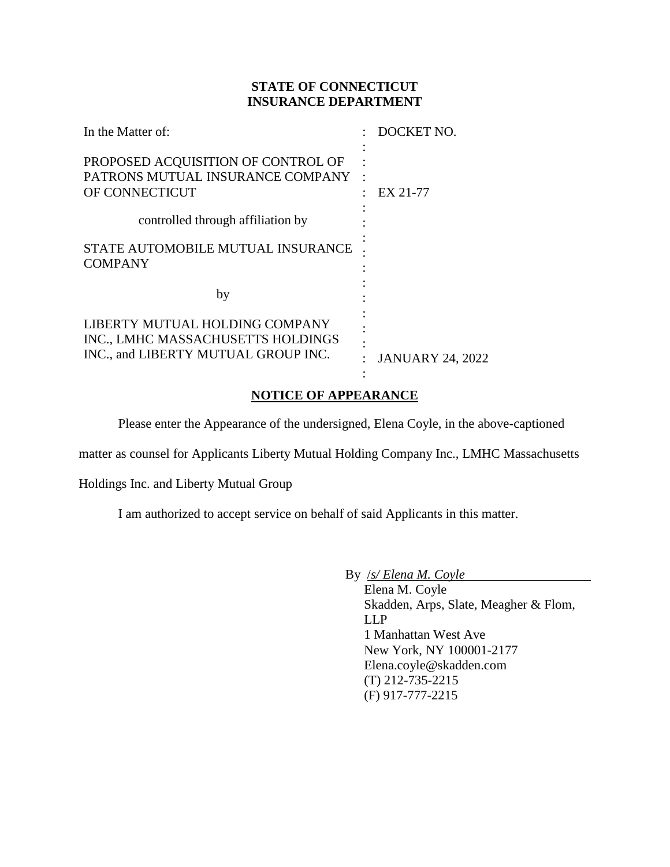# **STATE OF CONNECTICUT INSURANCE DEPARTMENT**

| In the Matter of:                                                                                          | DOCKET NO.              |
|------------------------------------------------------------------------------------------------------------|-------------------------|
| PROPOSED ACQUISITION OF CONTROL OF<br>PATRONS MUTUAL INSURANCE COMPANY<br>OF CONNECTICUT                   | EX 21-77                |
| controlled through affiliation by                                                                          |                         |
| STATE AUTOMOBILE MUTUAL INSURANCE<br><b>COMPANY</b>                                                        |                         |
| by                                                                                                         |                         |
| LIBERTY MUTUAL HOLDING COMPANY<br>INC., LMHC MASSACHUSETTS HOLDINGS<br>INC., and LIBERTY MUTUAL GROUP INC. | <b>JANUARY 24, 2022</b> |

# **NOTICE OF APPEARANCE**

Please enter the Appearance of the undersigned, Elena Coyle, in the above-captioned

:

matter as counsel for Applicants Liberty Mutual Holding Company Inc., LMHC Massachusetts

Holdings Inc. and Liberty Mutual Group

I am authorized to accept service on behalf of said Applicants in this matter.

By /*s/ Elena M. Coyle*

Elena M. Coyle Skadden, Arps, Slate, Meagher & Flom, LLP 1 Manhattan West Ave New York, NY 100001-2177 Elena.coyle@skadden.com (T) 212-735-2215 (F) 917-777-2215